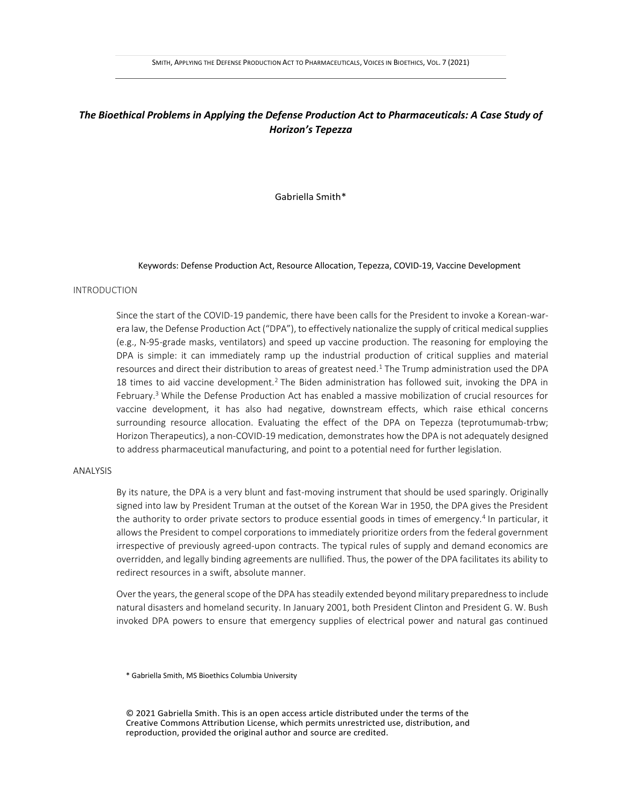# *The Bioethical Problems in Applying the Defense Production Act to Pharmaceuticals: A Case Study of Horizon's Tepezza*

Gabriella Smith\*

## Keywords: Defense Production Act, Resource Allocation, Tepezza, COVID-19, Vaccine Development

### INTRODUCTION

Since the start of the COVID-19 pandemic, there have been calls for the President to invoke a Korean-warera law, the Defense Production Act ("DPA"), to effectively nationalize the supply of critical medical supplies (e.g., N-95-grade masks, ventilators) and speed up vaccine production. The reasoning for employing the DPA is simple: it can immediately ramp up the industrial production of critical supplies and material resources and direct their distribution to areas of greatest need.<sup>1</sup> The Trump administration used the DPA 18 times to aid vaccine development.<sup>2</sup> The Biden administration has followed suit, invoking the DPA in February.<sup>3</sup> While the Defense Production Act has enabled a massive mobilization of crucial resources for vaccine development, it has also had negative, downstream effects, which raise ethical concerns surrounding resource allocation. Evaluating the effect of the DPA on Tepezza (teprotumumab-trbw; Horizon Therapeutics), a non-COVID-19 medication, demonstrates how the DPA is not adequately designed to address pharmaceutical manufacturing, and point to a potential need for further legislation.

#### ANALYSIS

By its nature, the DPA is a very blunt and fast-moving instrument that should be used sparingly. Originally signed into law by President Truman at the outset of the Korean War in 1950, the DPA gives the President the authority to order private sectors to produce essential goods in times of emergency.<sup>4</sup> In particular, it allows the President to compel corporations to immediately prioritize orders from the federal government irrespective of previously agreed-upon contracts. The typical rules of supply and demand economics are overridden, and legally binding agreements are nullified. Thus, the power of the DPA facilitates its ability to redirect resources in a swift, absolute manner.

Over the years, the general scope of the DPA has steadily extended beyond military preparedness to include natural disasters and homeland security. In January 2001, both President Clinton and President G. W. Bush invoked DPA powers to ensure that emergency supplies of electrical power and natural gas continued

\* Gabriella Smith, MS Bioethics Columbia University

© 2021 Gabriella Smith. This is an open access article distributed under the terms of the Creative Commons Attribution License, which permits unrestricted use, distribution, and reproduction, provided the original author and source are credited.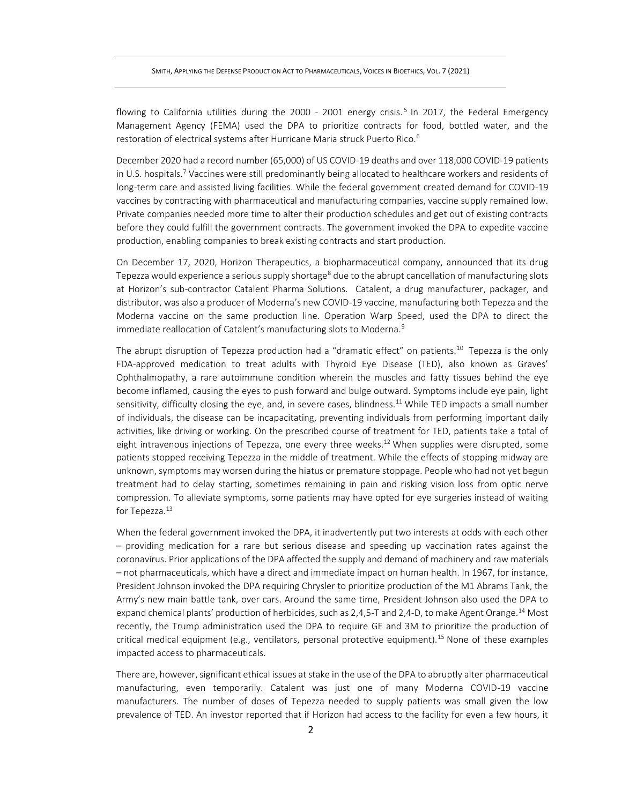flowing to California utilities during the 2000 - 2001 energy crisis.<sup>5</sup> In 2017, the Federal Emergency Management Agency (FEMA) used the DPA to prioritize contracts for food, bottled water, and the restoration of electrical systems after Hurricane Maria struck Puerto Rico.<sup>6</sup>

December 2020 had a record number (65,000) of US COVID-19 deaths and over 118,000 COVID-19 patients in U.S. hospitals.<sup>7</sup> Vaccines were still predominantly being allocated to healthcare workers and residents of long-term care and assisted living facilities. While the federal government created demand for COVID-19 vaccines by contracting with pharmaceutical and manufacturing companies, vaccine supply remained low. Private companies needed more time to alter their production schedules and get out of existing contracts before they could fulfill the government contracts. The government invoked the DPA to expedite vaccine production, enabling companies to break existing contracts and start production.

On December 17, 2020, Horizon Therapeutics, a biopharmaceutical company, announced that its drug Tepezza would experience a serious supply shortage<sup>8</sup> due to the abrupt cancellation of manufacturing slots at Horizon's sub-contractor Catalent Pharma Solutions. Catalent, a drug manufacturer, packager, and distributor, was also a producer of Moderna's new COVID-19 vaccine, manufacturing both Tepezza and the Moderna vaccine on the same production line. Operation Warp Speed, used the DPA to direct the immediate reallocation of Catalent's manufacturing slots to Moderna.<sup>9</sup>

The abrupt disruption of Tepezza production had a "dramatic effect" on patients.<sup>10</sup> Tepezza is the only FDA-approved medication to treat adults with Thyroid Eye Disease (TED), also known as Graves' Ophthalmopathy, a rare autoimmune condition wherein the muscles and fatty tissues behind the eye become inflamed, causing the eyes to push forward and bulge outward. Symptoms include eye pain, light sensitivity, difficulty closing the eye, and, in severe cases, blindness.<sup>11</sup> While TED impacts a small number of individuals, the disease can be incapacitating, preventing individuals from performing important daily activities, like driving or working. On the prescribed course of treatment for TED, patients take a total of eight intravenous injections of Tepezza, one every three weeks.<sup>12</sup> When supplies were disrupted, some patients stopped receiving Tepezza in the middle of treatment. While the effects of stopping midway are unknown, symptoms may worsen during the hiatus or premature stoppage. People who had not yet begun treatment had to delay starting, sometimes remaining in pain and risking vision loss from optic nerve compression. To alleviate symptoms, some patients may have opted for eye surgeries instead of waiting for Tepezza.<sup>13</sup>

When the federal government invoked the DPA, it inadvertently put two interests at odds with each other – providing medication for a rare but serious disease and speeding up vaccination rates against the coronavirus. Prior applications of the DPA affected the supply and demand of machinery and raw materials – not pharmaceuticals, which have a direct and immediate impact on human health. In 1967, for instance, President Johnson invoked the DPA requiring Chrysler to prioritize production of the M1 Abrams Tank, the Army's new main battle tank, over cars. Around the same time, President Johnson also used the DPA to expand chemical plants' production of herbicides, such as 2,4,5-T and 2,4-D, to make Agent Orange.<sup>14</sup> Most recently, the Trump administration used the DPA to require GE and 3M to prioritize the production of critical medical equipment (e.g., ventilators, personal protective equipment).<sup>15</sup> None of these examples impacted access to pharmaceuticals.

There are, however, significant ethical issues at stake in the use of the DPA to abruptly alter pharmaceutical manufacturing, even temporarily. Catalent was just one of many Moderna COVID-19 vaccine manufacturers. The number of doses of Tepezza needed to supply patients was small given the low prevalence of TED. An investor reported that if Horizon had access to the facility for even a few hours, it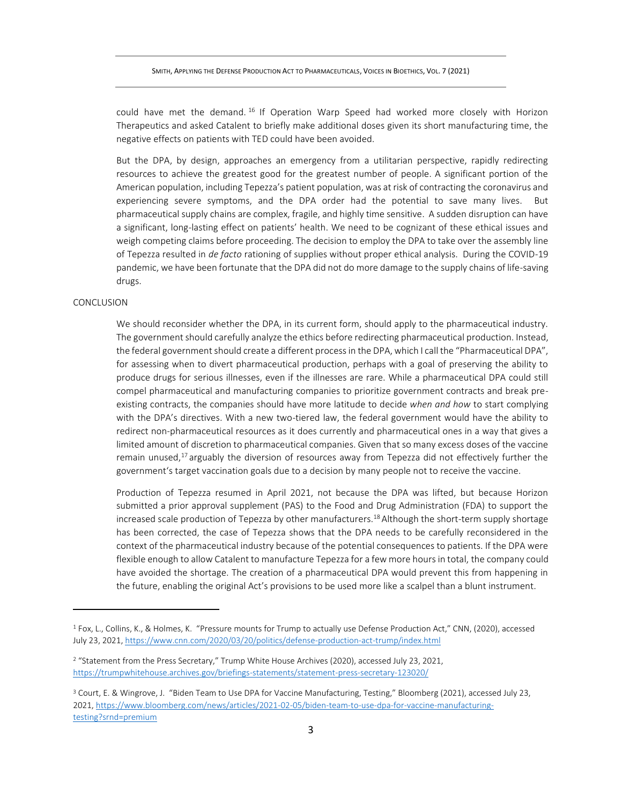SMITH, APPLYING THE DEFENSE PRODUCTION ACT TO PHARMACEUTICALS, VOICES IN BIOETHICS, VOL. 7 (2021)

could have met the demand. <sup>16</sup> If Operation Warp Speed had worked more closely with Horizon Therapeutics and asked Catalent to briefly make additional doses given its short manufacturing time, the negative effects on patients with TED could have been avoided.

But the DPA, by design, approaches an emergency from a utilitarian perspective, rapidly redirecting resources to achieve the greatest good for the greatest number of people. A significant portion of the American population, including Tepezza's patient population, was at risk of contracting the coronavirus and experiencing severe symptoms, and the DPA order had the potential to save many lives. But pharmaceutical supply chains are complex, fragile, and highly time sensitive. A sudden disruption can have a significant, long-lasting effect on patients' health. We need to be cognizant of these ethical issues and weigh competing claims before proceeding. The decision to employ the DPA to take over the assembly line of Tepezza resulted in *de facto* rationing of supplies without proper ethical analysis. During the COVID-19 pandemic, we have been fortunate that the DPA did not do more damage to the supply chains of life-saving drugs.

## CONCLUSION

We should reconsider whether the DPA, in its current form, should apply to the pharmaceutical industry. The government should carefully analyze the ethics before redirecting pharmaceutical production. Instead, the federal government should create a different process in the DPA, which I call the "Pharmaceutical DPA", for assessing when to divert pharmaceutical production, perhaps with a goal of preserving the ability to produce drugs for serious illnesses, even if the illnesses are rare. While a pharmaceutical DPA could still compel pharmaceutical and manufacturing companies to prioritize government contracts and break preexisting contracts, the companies should have more latitude to decide *when and how* to start complying with the DPA's directives. With a new two-tiered law, the federal government would have the ability to redirect non-pharmaceutical resources as it does currently and pharmaceutical ones in a way that gives a limited amount of discretion to pharmaceutical companies. Given that so many excess doses of the vaccine remain unused,<sup>17</sup> arguably the diversion of resources away from Tepezza did not effectively further the government's target vaccination goals due to a decision by many people not to receive the vaccine.

Production of Tepezza resumed in April 2021, not because the DPA was lifted, but because Horizon submitted a prior approval supplement (PAS) to the Food and Drug Administration (FDA) to support the increased scale production of Tepezza by other manufacturers.<sup>18</sup> Although the short-term supply shortage has been corrected, the case of Tepezza shows that the DPA needs to be carefully reconsidered in the context of the pharmaceutical industry because of the potential consequences to patients. If the DPA were flexible enough to allow Catalent to manufacture Tepezza for a few more hours in total, the company could have avoided the shortage. The creation of a pharmaceutical DPA would prevent this from happening in the future, enabling the original Act's provisions to be used more like a scalpel than a blunt instrument.

<sup>1</sup> Fox, L., Collins, K., & Holmes, K. "Pressure mounts for Trump to actually use Defense Production Act," CNN, (2020), accessed July 23, 2021[, https://www.cnn.com/2020/03/20/politics/defense-production-act-trump/index.html](https://www.cnn.com/2020/03/20/politics/defense-production-act-trump/index.html)

<sup>&</sup>lt;sup>2</sup> "Statement from the Press Secretary," Trump White House Archives (2020), accessed July 23, 2021, <https://trumpwhitehouse.archives.gov/briefings-statements/statement-press-secretary-123020/>

<sup>&</sup>lt;sup>3</sup> Court, E. & Wingrove, J. "Biden Team to Use DPA for Vaccine Manufacturing, Testing," Bloomberg (2021), accessed July 23, 2021[, https://www.bloomberg.com/news/articles/2021-02-05/biden-team-to-use-dpa-for-vaccine-manufacturing](https://www.bloomberg.com/news/articles/2021-02-05/biden-team-to-use-dpa-for-vaccine-manufacturing-testing?srnd=premium)[testing?srnd=premium](https://www.bloomberg.com/news/articles/2021-02-05/biden-team-to-use-dpa-for-vaccine-manufacturing-testing?srnd=premium)